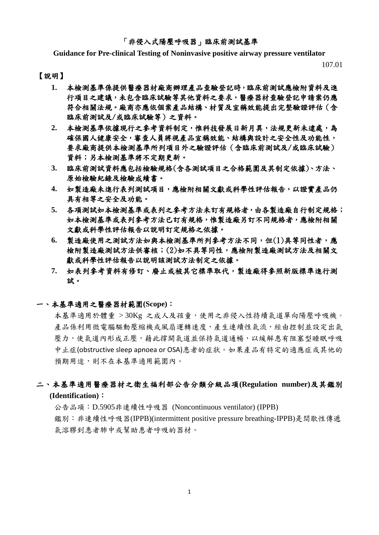#### 「非侵入式陽壓呼吸器」臨床前測試基準

**Guidance for Pre-clinical Testing of Noninvasive positive airway pressure ventilator**

107.01

### 【說明】

- **1.** 本檢測基準係提供醫療器材廠商辦理產品查驗登記時,臨床前測試應檢附資料及進 行項目之建議,未包含臨床試驗等其他資料之要求,醫療器材查驗登記申請案仍應 符合相關法規。廠商亦應依個案產品結構、材質及宣稱效能提出完整驗證評估(含 臨床前測試及/或臨床試驗等)之資料。
- **2.** 本檢測基準依據現行之參考資料制定,惟科技發展日新月異,法規更新未逮處,為 確保國人健康安全,審查人員將視產品宣稱效能、結構與設計之安全性及功能性, 要求廠商提供本檢測基準所列項目外之驗證評估(含臨床前測試及/或臨床試驗) 資料;另本檢測基準將不定期更新。
- **3.** 臨床前測試資料應包括檢驗規格(含各測試項目之合格範圍及其制定依據)、方法、 原始檢驗紀錄及檢驗成績書。
- **4.** 如製造廠未進行表列測試項目,應檢附相關文獻或科學性評估報告,以證實產品仍 具有相等之安全及功能。
- **5.** 各項測試如本檢測基準或表列之參考方法未訂有規格者,由各製造廠自行制定規格; 如本檢測基準或表列參考方法已訂有規格,惟製造廠另訂不同規格者,應檢附相關 文獻或科學性評估報告以說明訂定規格之依據。
- **6.** 製造廠使用之測試方法如與本檢測基準所列參考方法不同,但(1)具等同性者,應 檢附製造廠測試方法供審核;(2)如不具等同性,應檢附製造廠測試方法及相關文 獻或科學性評估報告以說明該測試方法制定之依據。
- **7.** 如表列參考資料有修訂、廢止或被其它標準取代,製造廠得參照新版標準進行測 試。

#### 一、本基準適用之醫療器材範圍**(Scope)**:

本基準適用於體重 > 30Kg 之成人及孩童,使用之非侵入性持續氣道單向陽壓呼吸機。 產品係利用微電腦驅動壓縮機或風扇運轉速度,產生連續性氣流,經由控制並設定出氣 壓力,使氣道內形成正壓,藉此撐開氣道並保持氣道通暢,以緩解患有阻塞型睡眠呼吸 中止症(obstructive sleep apnoea or OSA)患者的症狀。如果產品有特定的適應症或其他的 預期用途,則不在本基準適用範圍內。

## 二、本基準適用醫療器材之衛生福利部公告分類分級品項**(Regulation number)**及其鑑別 **(Identification)**:

公告品項:D.5905非連續性呼吸器 (Noncontinuous ventilator) (IPPB) 鑑別:非連續性呼吸器(IPPB)(intermittent positive pressure breathing-IPPB)是間歇性傳遞 氣溶膠到患者肺中或幫助患者呼吸的器材。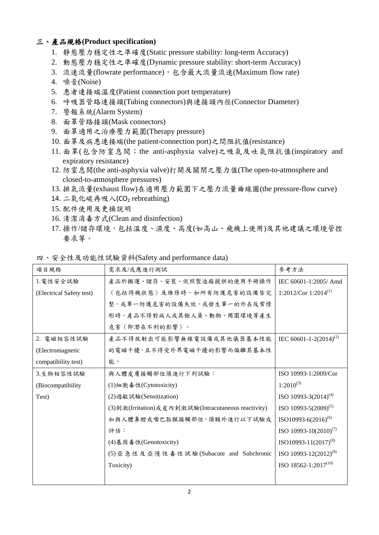## 三、產品規格**(Product specification)**

- 1. 靜態壓力穩定性之準確度(Static pressure stability: long-term Accuracy)
- 2. 動態壓力穩定性之準確度(Dynamic pressure stability: short-term Accuracy)
- 3. 流速流量(flowrate performance),包含最大流量流速(Maximum flow rate)
- 4. 噪音(Noise)
- 5. 患者連接端溫度(Patient connection port temperature)
- 6. 呼吸器管路連接頭(Tubing connectors)與連接頭內徑(Connector Diameter)
- 7. 警報系統(Alarm System)
- 8. 面罩管路接頭(Mask connectors)
- 9. 面罩適用之治療壓力範圍(Therapy pressure)
- 10. 面罩及病患連接端(the patient-connection port)之間阻抗值(resistance)
- 11. 面罩(包含防窒息閥;the anti-asphyxia valve)之吸氣及吐氣阻抗值(inspiratory and expiratory resistance)
- 12. 防窒息閥(the anti-asphyxia valve)打開及關閉之壓力值(The open-to-atmosphere and closed-to-atmosphere pressures)
- 13. 排氣流量(exhaust flow)在適用壓力範圍下之壓力流量曲線圖(the pressure-flow curve)
- 14. 二氧化碳再吸入(CO<sub>2</sub> rebreathing)
- 15. 配件使用及更換說明
- 16. 清潔消毒方式(Clean and disinfection)
- 17. 操作/儲存環境,包括溫度、濕度、高度(如高山、飛機上使用)及其他建議之環境管控 要求等。

|                          | 四、安全性及功能性試驗資料(Safety and performance data)            |                                    |  |
|--------------------------|-------------------------------------------------------|------------------------------------|--|
| 項目規格                     | 需求及/或應進行測試                                            | 參考方法                               |  |
| 1. 電性安全試驗                | 產品於搬運、儲存、安裝、依照製造廠提供的使用手冊操作                            | IEC 60601-1:2005/ Amd              |  |
| (Electrical Safety test) | (包括待機狀態)及維修時,如所有防護危害的設備皆完                             | 1:2012/Cor 1:2014 <sup>(1)</sup>   |  |
|                          | 整,或單一防護危害的設備失效,或發生單一的外在反常情                            |                                    |  |
|                          | 形時,產品不得對病人或其餘人員、動物、周圍環境等產生                            |                                    |  |
|                          | 危害(即潛在不利的影響)。                                         |                                    |  |
| 2. 電磁相容性試驗               | 產品不得放射出可能影響無線電設備或其他儀器基本性能                             | IEC 60601-1-2(2014) <sup>(2)</sup> |  |
| (Electromagnetic         | 的電磁干擾,且不得受外界電磁干擾的影響而偏離其基本性                            |                                    |  |
| compatibility test)      | 能。                                                    |                                    |  |
| 3.生物相容性試驗                | 與人體皮膚接觸部位須進行下列試驗:                                     | ISO 10993-1:2009/Cor               |  |
| (Biocompatibility)       | (1) 細胞毒性(Cytotoxicity)                                | $1:2010^{(3)}$                     |  |
| Test)                    | (2) 過敏試驗(Sensitization)                               | ISO 10993-3 $(2014)^{(4)}$         |  |
|                          | (3) 刺激(Irritation) 或皮內刺激試驗(Intracutaneous reactivity) | ISO 10993-5(2009) <sup>(5)</sup>   |  |
|                          | 如與人體鼻腔或嘴巴黏膜接觸部位,須額外進行以下試驗或                            | ISO10993-6(2016) <sup>(6)</sup>    |  |
|                          | 評估:                                                   | ISO 10993-10 $(2010)^{(7)}$        |  |
|                          | (4) 基因毒性(Genotoxicity)                                | ISO10993-11(2017) <sup>(8)</sup>   |  |
|                          | (5) 亞急性及亞慢性毒性試驗(Subacute and Subchronic               | ISO 10993-12 $(2012)^{(9)}$        |  |
|                          | Toxicity)                                             | ISO 18562-1:2017 <sup>(10)</sup>   |  |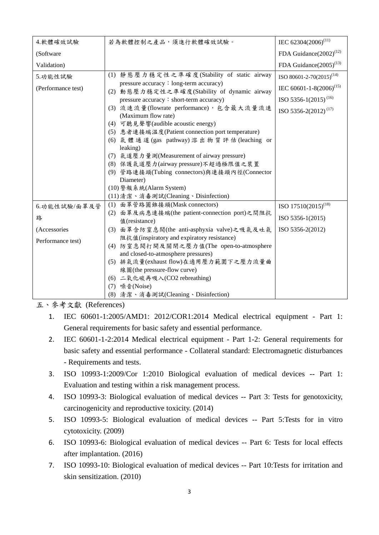| 若為軟體控制之產品,須進行軟體確效試驗。                         | IEC 62304(2006) <sup>(11)</sup>                                                                                                                                                                                                                                                                                                                                                                                                                                                                                                                                                                                                                                                |
|----------------------------------------------|--------------------------------------------------------------------------------------------------------------------------------------------------------------------------------------------------------------------------------------------------------------------------------------------------------------------------------------------------------------------------------------------------------------------------------------------------------------------------------------------------------------------------------------------------------------------------------------------------------------------------------------------------------------------------------|
|                                              | FDA Guidance(2002) <sup>(12)</sup>                                                                                                                                                                                                                                                                                                                                                                                                                                                                                                                                                                                                                                             |
|                                              | FDA Guidance $(2005)^{(13)}$                                                                                                                                                                                                                                                                                                                                                                                                                                                                                                                                                                                                                                                   |
| (1) 靜態壓力穩定性之準確度(Stability of static airway   | ISO 80601-2-70(2015) <sup>(14)</sup>                                                                                                                                                                                                                                                                                                                                                                                                                                                                                                                                                                                                                                           |
|                                              | IEC 60601-1-8(2006) <sup>(15)</sup>                                                                                                                                                                                                                                                                                                                                                                                                                                                                                                                                                                                                                                            |
| pressure accuracy: short-term accuracy)      | ISO 5356-1(2015) <sup>(16)</sup>                                                                                                                                                                                                                                                                                                                                                                                                                                                                                                                                                                                                                                               |
| (3) 流速流量(flowrate performance), 包含最大流量流速     | ISO 5356-2(2012) <sup>(17)</sup>                                                                                                                                                                                                                                                                                                                                                                                                                                                                                                                                                                                                                                               |
|                                              |                                                                                                                                                                                                                                                                                                                                                                                                                                                                                                                                                                                                                                                                                |
|                                              |                                                                                                                                                                                                                                                                                                                                                                                                                                                                                                                                                                                                                                                                                |
|                                              |                                                                                                                                                                                                                                                                                                                                                                                                                                                                                                                                                                                                                                                                                |
|                                              |                                                                                                                                                                                                                                                                                                                                                                                                                                                                                                                                                                                                                                                                                |
| (7) 氣道壓力量測(Measurement of airway pressure)   |                                                                                                                                                                                                                                                                                                                                                                                                                                                                                                                                                                                                                                                                                |
| (8) 保護氣道壓力(airway pressure)不超過極限值之裝置         |                                                                                                                                                                                                                                                                                                                                                                                                                                                                                                                                                                                                                                                                                |
| (9) 管路連接頭(Tubing connectors)與連接頭內徑(Connector |                                                                                                                                                                                                                                                                                                                                                                                                                                                                                                                                                                                                                                                                                |
| Diameter)                                    |                                                                                                                                                                                                                                                                                                                                                                                                                                                                                                                                                                                                                                                                                |
| (10) 警報系統(Alarm System)                      |                                                                                                                                                                                                                                                                                                                                                                                                                                                                                                                                                                                                                                                                                |
| (11) 清潔、消毒測試(Cleaning、Disinfection)          |                                                                                                                                                                                                                                                                                                                                                                                                                                                                                                                                                                                                                                                                                |
| (1) 面罩管路圓錐接頭(Mask connectors)                | ISO 17510(2015) <sup>(18)</sup>                                                                                                                                                                                                                                                                                                                                                                                                                                                                                                                                                                                                                                                |
|                                              | ISO 5356-1(2015)                                                                                                                                                                                                                                                                                                                                                                                                                                                                                                                                                                                                                                                               |
|                                              |                                                                                                                                                                                                                                                                                                                                                                                                                                                                                                                                                                                                                                                                                |
|                                              | ISO 5356-2(2012)                                                                                                                                                                                                                                                                                                                                                                                                                                                                                                                                                                                                                                                               |
|                                              |                                                                                                                                                                                                                                                                                                                                                                                                                                                                                                                                                                                                                                                                                |
|                                              |                                                                                                                                                                                                                                                                                                                                                                                                                                                                                                                                                                                                                                                                                |
|                                              |                                                                                                                                                                                                                                                                                                                                                                                                                                                                                                                                                                                                                                                                                |
|                                              |                                                                                                                                                                                                                                                                                                                                                                                                                                                                                                                                                                                                                                                                                |
|                                              |                                                                                                                                                                                                                                                                                                                                                                                                                                                                                                                                                                                                                                                                                |
|                                              |                                                                                                                                                                                                                                                                                                                                                                                                                                                                                                                                                                                                                                                                                |
|                                              |                                                                                                                                                                                                                                                                                                                                                                                                                                                                                                                                                                                                                                                                                |
|                                              | pressure accuracy : long-term accuracy)<br>(2) 動態壓力穩定性之準確度(Stability of dynamic airway<br>(Maximum flow rate)<br>(4) 可聽見聲響(audible acoustic energy)<br>(5) 患者連接端温度(Patient connection port temperature)<br>(6) 氣體通道(gas pathway) 溶出物質評估(leaching or<br>leaking)<br>(2) 面罩及病患連接端(the patient-connection port)之間阻抗<br>值(resistance)<br>(3) 面罩含防窒息閥(the anti-asphyxia valve)之吸氣及吐氣<br>阻抗值(inspiratory and expiratory resistance)<br>(4) 防窒息閥打開及關閉之壓力值(The open-to-atmosphere<br>and closed-to-atmosphere pressures)<br>(5) 排氣流量(exhaust flow)在適用壓力範圍下之壓力流量曲<br>線圖(the pressure-flow curve)<br>(6) 二氧化碳再吸入(CO2 rebreathing)<br>(7) 噪音(Noise)<br>(8) 清潔、消毒測試(Cleaning、Disinfection) |

# 五、參考文獻 (References)

- 1. IEC 60601-1:2005/AMD1: 2012/COR1:2014 Medical electrical equipment Part 1: General requirements for basic safety and essential performance.
- 2. IEC 60601-1-2:2014 Medical electrical equipment Part 1-2: General requirements for basic safety and essential performance - Collateral standard: Electromagnetic disturbances - Requirements and tests.
- 3. ISO 10993-1:2009/Cor 1:2010 Biological evaluation of medical devices -- Part 1: Evaluation and testing within a risk management process.
- 4. ISO 10993-3: Biological evaluation of medical devices -- Part 3: Tests for genotoxicity, carcinogenicity and reproductive toxicity. (2014)
- 5. ISO 10993-5: Biological evaluation of medical devices -- Part 5:Tests for in vitro cytotoxicity. (2009)
- 6. ISO 10993-6: Biological evaluation of medical devices -- Part 6: Tests for local effects after implantation. (2016)
- 7. ISO 10993-10: Biological evaluation of medical devices -- Part 10:Tests for irritation and skin sensitization. (2010)